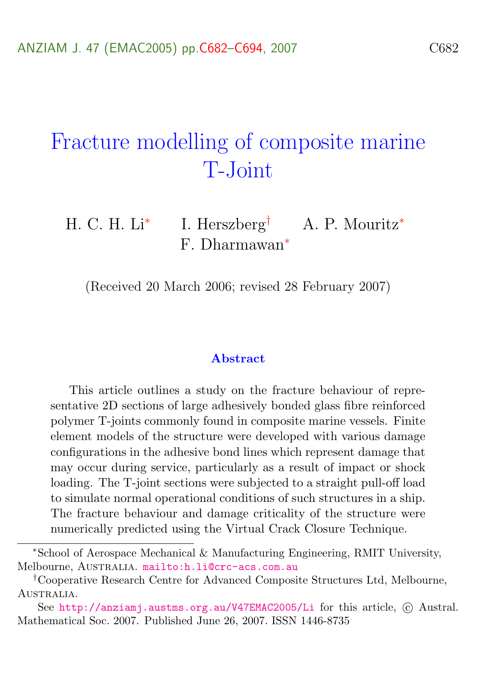# Fracture modelling of composite marine T-Joint

H. C. H. Li<sup>∗</sup> I. Herszberg† A. P. Mouritz<sup>∗</sup> F. Dharmawan<sup>∗</sup>

(Received 20 March 2006; revised 28 February 2007)

#### **Abstract**

This article outlines a study on the fracture behaviour of representative 2D sections of large adhesively bonded glass fibre reinforced polymer T-joints commonly found in composite marine vessels. Finite element models of the structure were developed with various damage configurations in the adhesive bond lines which represent damage that may occur during service, particularly as a result of impact or shock loading. The T-joint sections were subjected to a straight pull-off load to simulate normal operational conditions of such structures in a ship. The fracture behaviour and damage criticality of the structure were numerically predicted using the Virtual Crack Closure Technique.

<sup>∗</sup>School of Aerospace Mechanical & Manufacturing Engineering, RMIT University, Melbourne, AUSTRALIA. <mailto:h.li@crc-acs.com.au>

<sup>†</sup>Cooperative Research Centre for Advanced Composite Structures Ltd, Melbourne, AUSTRALIA.

See <http://anziamj.austms.org.au/V47EMAC2005/Li> for this article,  $\odot$  Austral. Mathematical Soc. 2007. Published June 26, 2007. ISSN 1446-8735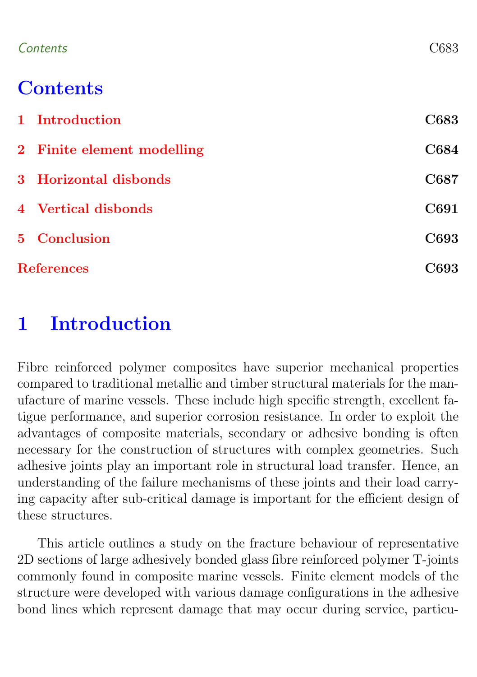#### Contents C683

# **Contents**

|                   | 1 Introduction             | C683 |
|-------------------|----------------------------|------|
|                   | 2 Finite element modelling | C684 |
|                   | 3 Horizontal disbonds      | C687 |
|                   | 4 Vertical disbonds        | C691 |
|                   | 5 Conclusion               | C693 |
| <b>References</b> |                            | C693 |

## <span id="page-1-0"></span>1 Introduction

Fibre reinforced polymer composites have superior mechanical properties compared to traditional metallic and timber structural materials for the manufacture of marine vessels. These include high specific strength, excellent fatigue performance, and superior corrosion resistance. In order to exploit the advantages of composite materials, secondary or adhesive bonding is often necessary for the construction of structures with complex geometries. Such adhesive joints play an important role in structural load transfer. Hence, an understanding of the failure mechanisms of these joints and their load carrying capacity after sub-critical damage is important for the efficient design of these structures.

This article outlines a study on the fracture behaviour of representative 2D sections of large adhesively bonded glass fibre reinforced polymer T-joints commonly found in composite marine vessels. Finite element models of the structure were developed with various damage configurations in the adhesive bond lines which represent damage that may occur during service, particu-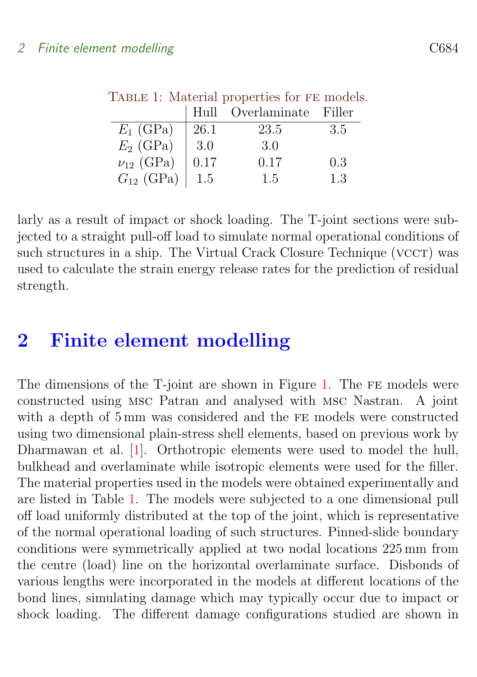<span id="page-2-1"></span>

|                  |      | Hull Overlaminate Filler |      |
|------------------|------|--------------------------|------|
| $E_1$ (GPa)      | 26.1 | 23.5                     | -3.5 |
| $E_2$ (GPa)      | 3.0  | 3.0                      |      |
| $\nu_{12}$ (GPa) | 0.17 | 0.17                     | 0.3  |
| $G_{12}$ (GPa)   | 1.5  | 1.5                      | 1.3  |

<span id="page-2-2"></span>TABLE 1: Material properties for FE models.

larly as a result of impact or shock loading. The T-joint sections were subjected to a straight pull-off load to simulate normal operational conditions of such structures in a ship. The Virtual Crack Closure Technique (VCCT) was used to calculate the strain energy release rates for the prediction of residual strength.

## <span id="page-2-0"></span>2 Finite element modelling

The dimensions of the T-joint are shown in Figure [1.](#page-3-0) The FE models were constructed using msc Patran and analysed with msc Nastran. A joint with a depth of 5 mm was considered and the FE models were constructed using two dimensional plain-stress shell elements, based on previous work by Dharmawan et al. [\[1\]](#page-11-2). Orthotropic elements were used to model the hull, bulkhead and overlaminate while isotropic elements were used for the filler. The material properties used in the models were obtained experimentally and are listed in Table [1.](#page-2-1) The models were subjected to a one dimensional pull off load uniformly distributed at the top of the joint, which is representative of the normal operational loading of such structures. Pinned-slide boundary conditions were symmetrically applied at two nodal locations 225 mm from the centre (load) line on the horizontal overlaminate surface. Disbonds of various lengths were incorporated in the models at different locations of the bond lines, simulating damage which may typically occur due to impact or shock loading. The different damage configurations studied are shown in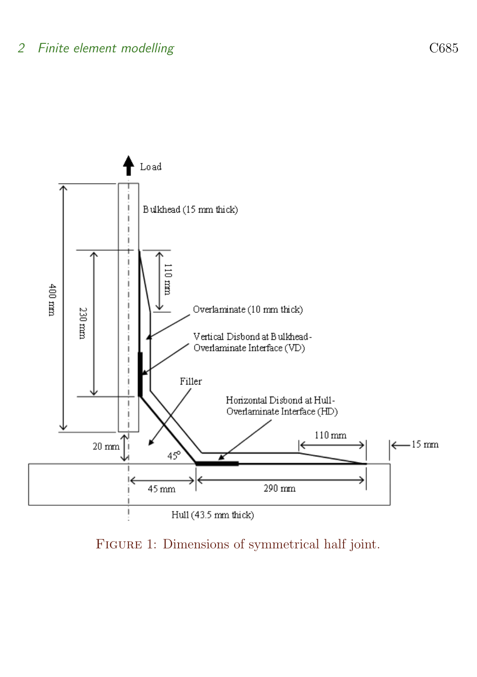

<span id="page-3-0"></span>Figure 1: Dimensions of symmetrical half joint.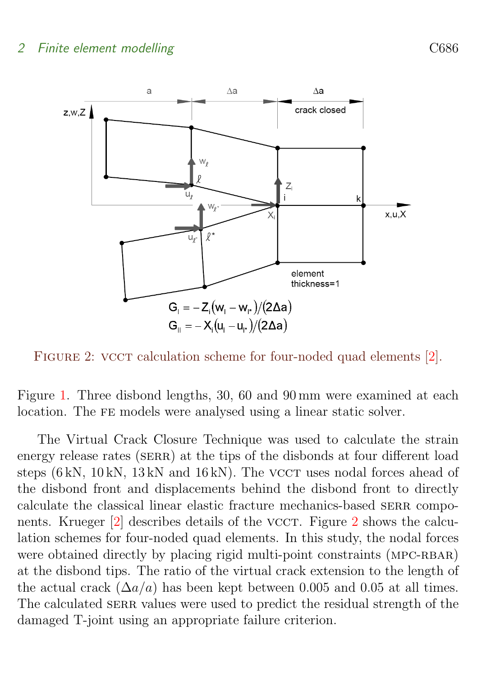<span id="page-4-1"></span>

<span id="page-4-0"></span>FIGURE 2: VCCT calculation scheme for four-noded quad elements [\[2\]](#page-12-0).

Figure [1.](#page-3-0) Three disbond lengths, 30, 60 and 90 mm were examined at each location. The FE models were analysed using a linear static solver.

The Virtual Crack Closure Technique was used to calculate the strain energy release rates (SERR) at the tips of the disbonds at four different load steps (6 kN, 10 kN, 13 kN and 16 kN). The VCCT uses nodal forces ahead of the disbond front and displacements behind the disbond front to directly calculate the classical linear elastic fracture mechanics-based serr components. Krueger  $[2]$  describes details of the vcc. Figure [2](#page-4-0) shows the calculation schemes for four-noded quad elements. In this study, the nodal forces were obtained directly by placing rigid multi-point constraints (MPC-RBAR) at the disbond tips. The ratio of the virtual crack extension to the length of the actual crack  $(\Delta a/a)$  has been kept between 0.005 and 0.05 at all times. The calculated SERR values were used to predict the residual strength of the damaged T-joint using an appropriate failure criterion.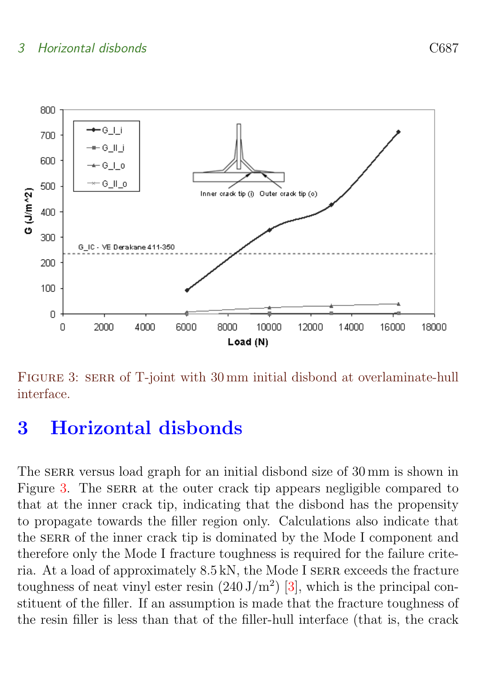<span id="page-5-2"></span>

<span id="page-5-1"></span>FIGURE 3: SERR of T-joint with 30 mm initial disbond at overlaminate-hull interface.

### <span id="page-5-0"></span>3 Horizontal disbonds

The SERR versus load graph for an initial disbond size of 30 mm is shown in Figure [3.](#page-5-1) The SERR at the outer crack tip appears negligible compared to that at the inner crack tip, indicating that the disbond has the propensity to propagate towards the filler region only. Calculations also indicate that the SERR of the inner crack tip is dominated by the Mode I component and therefore only the Mode I fracture toughness is required for the failure criteria. At a load of approximately 8.5 kN, the Mode I serr exceeds the fracture toughness of neat vinyl ester resin  $(240 \text{ J/m}^2)$  [\[3\]](#page-12-1), which is the principal constituent of the filler. If an assumption is made that the fracture toughness of the resin filler is less than that of the filler-hull interface (that is, the crack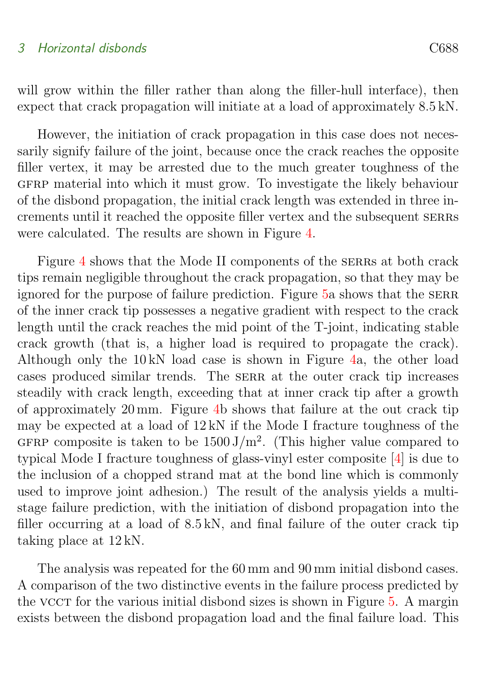<span id="page-6-0"></span>will grow within the filler rather than along the filler-hull interface), then expect that crack propagation will initiate at a load of approximately 8.5 kN.

However, the initiation of crack propagation in this case does not necessarily signify failure of the joint, because once the crack reaches the opposite filler vertex, it may be arrested due to the much greater toughness of the gfrp material into which it must grow. To investigate the likely behaviour of the disbond propagation, the initial crack length was extended in three increments until it reached the opposite filler vertex and the subsequent serrs were calculated. The results are shown in Figure [4.](#page-7-0)

Figure [4](#page-7-0) shows that the Mode II components of the SERRs at both crack tips remain negligible throughout the crack propagation, so that they may be ignored for the purpose of failure prediction. Figure [5a](#page-8-0) shows that the SERR of the inner crack tip possesses a negative gradient with respect to the crack length until the crack reaches the mid point of the T-joint, indicating stable crack growth (that is, a higher load is required to propagate the crack). Although only the 10 kN load case is shown in Figure [4a](#page-7-0), the other load cases produced similar trends. The serr at the outer crack tip increases steadily with crack length, exceeding that at inner crack tip after a growth of approximately 20 mm. Figure [4b](#page-7-0) shows that failure at the out crack tip may be expected at a load of 12 kN if the Mode I fracture toughness of the GFRP composite is taken to be  $1500 \text{ J/m}^2$ . (This higher value compared to typical Mode I fracture toughness of glass-vinyl ester composite [\[4\]](#page-12-2) is due to the inclusion of a chopped strand mat at the bond line which is commonly used to improve joint adhesion.) The result of the analysis yields a multistage failure prediction, with the initiation of disbond propagation into the filler occurring at a load of 8.5 kN, and final failure of the outer crack tip taking place at 12 kN.

The analysis was repeated for the 60 mm and 90 mm initial disbond cases. A comparison of the two distinctive events in the failure process predicted by the vcc for the various initial disbond sizes is shown in Figure [5.](#page-8-0) A margin exists between the disbond propagation load and the final failure load. This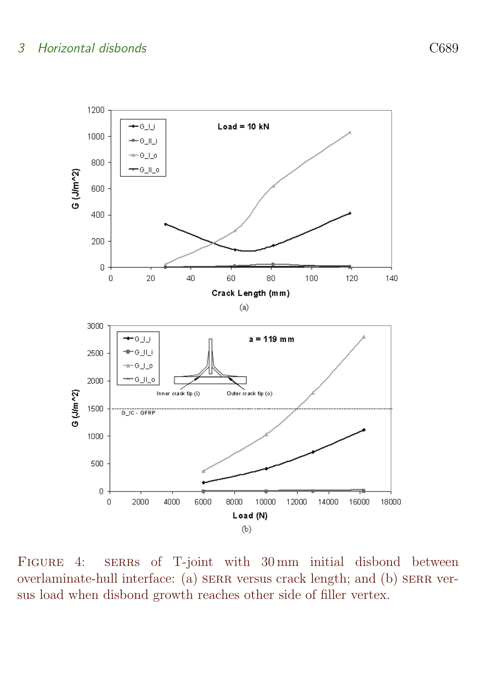

<span id="page-7-0"></span>FIGURE 4: SERRS of T-joint with 30 mm initial disbond between overlaminate-hull interface: (a) serr versus crack length; and (b) serr versus load when disbond growth reaches other side of filler vertex.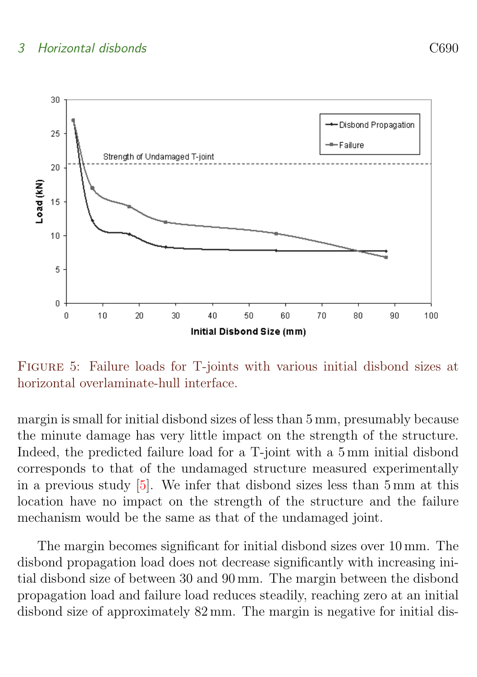<span id="page-8-1"></span>

<span id="page-8-0"></span>Figure 5: Failure loads for T-joints with various initial disbond sizes at horizontal overlaminate-hull interface.

margin is small for initial disbond sizes of less than 5 mm, presumably because the minute damage has very little impact on the strength of the structure. Indeed, the predicted failure load for a T-joint with a 5 mm initial disbond corresponds to that of the undamaged structure measured experimentally in a previous study [\[5\]](#page-12-3). We infer that disbond sizes less than 5 mm at this location have no impact on the strength of the structure and the failure mechanism would be the same as that of the undamaged joint.

The margin becomes significant for initial disbond sizes over 10 mm. The disbond propagation load does not decrease significantly with increasing initial disbond size of between 30 and 90 mm. The margin between the disbond propagation load and failure load reduces steadily, reaching zero at an initial disbond size of approximately 82 mm. The margin is negative for initial dis-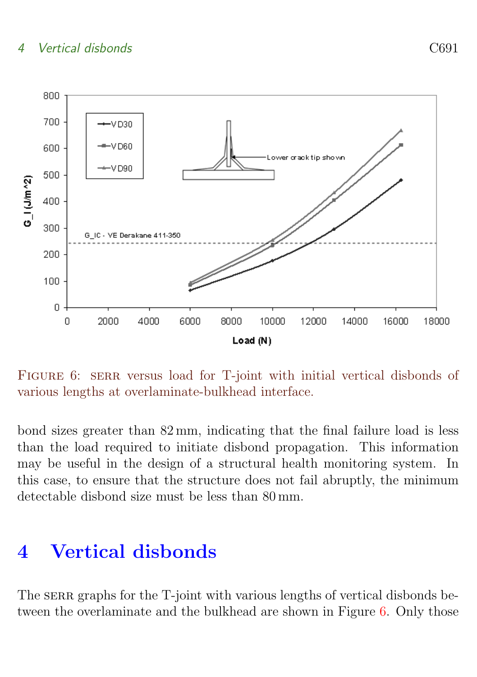#### 4 Vertical disbonds C691



<span id="page-9-1"></span>FIGURE 6: SERR versus load for T-joint with initial vertical disbonds of various lengths at overlaminate-bulkhead interface.

bond sizes greater than 82 mm, indicating that the final failure load is less than the load required to initiate disbond propagation. This information may be useful in the design of a structural health monitoring system. In this case, to ensure that the structure does not fail abruptly, the minimum detectable disbond size must be less than 80 mm.

# <span id="page-9-0"></span>4 Vertical disbonds

The SERR graphs for the T-joint with various lengths of vertical disbonds be-tween the overlaminate and the bulkhead are shown in Figure [6.](#page-9-1) Only those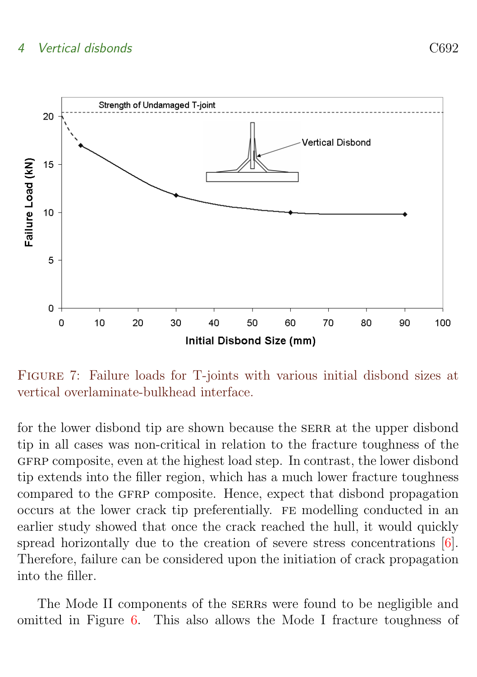#### <span id="page-10-1"></span>4 Vertical disbonds C692



<span id="page-10-0"></span>Figure 7: Failure loads for T-joints with various initial disbond sizes at vertical overlaminate-bulkhead interface.

for the lower disbond tip are shown because the SERR at the upper disbond tip in all cases was non-critical in relation to the fracture toughness of the gfrp composite, even at the highest load step. In contrast, the lower disbond tip extends into the filler region, which has a much lower fracture toughness compared to the GFRP composite. Hence, expect that disbond propagation occurs at the lower crack tip preferentially. fe modelling conducted in an earlier study showed that once the crack reached the hull, it would quickly spread horizontally due to the creation of severe stress concentrations [\[6\]](#page-12-4). Therefore, failure can be considered upon the initiation of crack propagation into the filler.

The Mode II components of the SERRs were found to be negligible and omitted in Figure [6.](#page-9-1) This also allows the Mode I fracture toughness of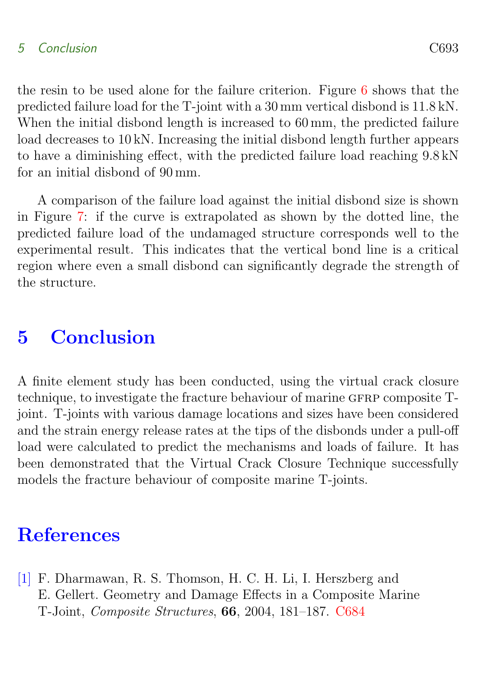#### 5 Conclusion C693

the resin to be used alone for the failure criterion. Figure [6](#page-9-1) shows that the predicted failure load for the T-joint with a 30 mm vertical disbond is 11.8 kN. When the initial disbond length is increased to 60 mm, the predicted failure load decreases to 10 kN. Increasing the initial disbond length further appears to have a diminishing effect, with the predicted failure load reaching 9.8 kN for an initial disbond of 90 mm.

A comparison of the failure load against the initial disbond size is shown in Figure [7:](#page-10-0) if the curve is extrapolated as shown by the dotted line, the predicted failure load of the undamaged structure corresponds well to the experimental result. This indicates that the vertical bond line is a critical region where even a small disbond can significantly degrade the strength of the structure.

### <span id="page-11-1"></span>5 Conclusion

A finite element study has been conducted, using the virtual crack closure technique, to investigate the fracture behaviour of marine GFRP composite Tjoint. T-joints with various damage locations and sizes have been considered and the strain energy release rates at the tips of the disbonds under a pull-off load were calculated to predict the mechanisms and loads of failure. It has been demonstrated that the Virtual Crack Closure Technique successfully models the fracture behaviour of composite marine T-joints.

# **References**

<span id="page-11-2"></span><span id="page-11-0"></span>[1] F. Dharmawan, R. S. Thomson, H. C. H. Li, I. Herszberg and E. Gellert. Geometry and Damage Effects in a Composite Marine T-Joint, Composite Structures, 66, 2004, 181–187. [C684](#page-2-2)